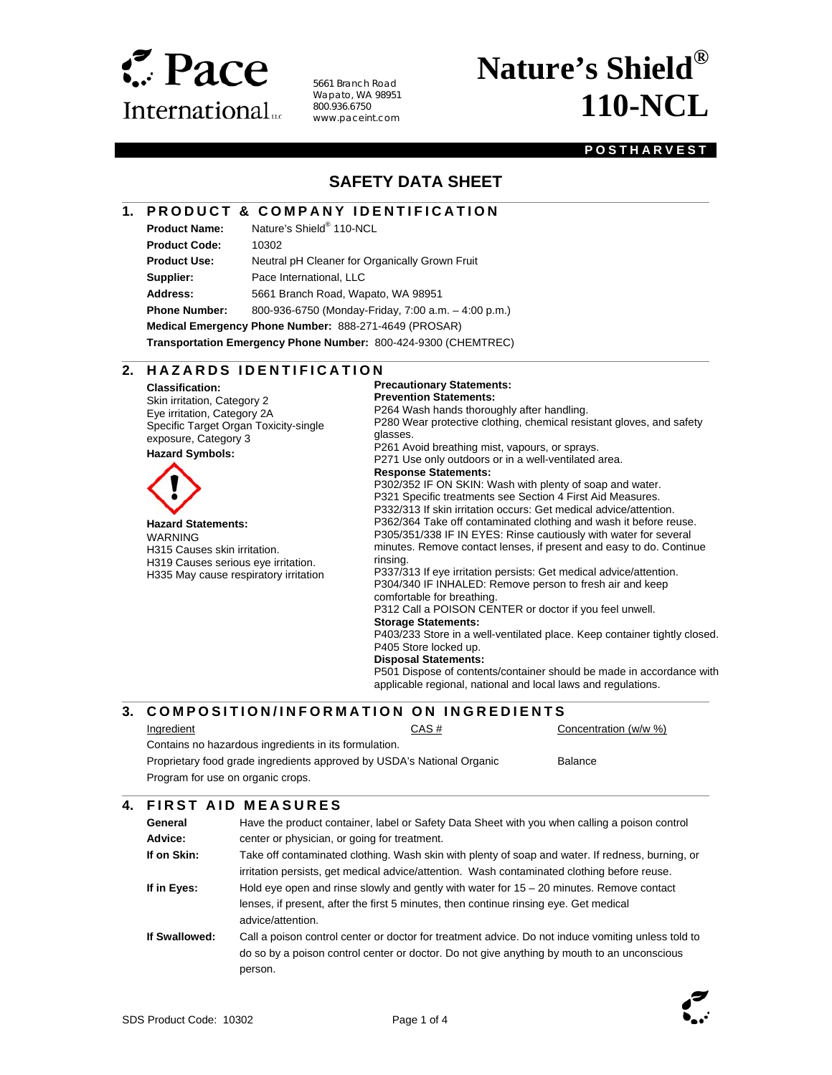

5661 Branch Road Wapato, WA 98951 800.936.6750 www.paceint.com

# **Nature's Shield® 110-NCL**

#### **POSTHARVEST**

### **SAFETY DATA SHEET**

#### **1. PRODUCT & COMPANY IDENTIFICATION**

**Product Name:** Nature's Shield® 110-NCL

l

 $\overline{a}$ 

 $\overline{\phantom{a}}$ 

**Product Code:** 10302

**Product Use:** Neutral pH Cleaner for Organically Grown Fruit

**Supplier:** Pace International, LLC

**Address:** 5661 Branch Road, Wapato, WA 98951

**Phone Number:** 800-936-6750 (Monday-Friday, 7:00 a.m. – 4:00 p.m.)

**Medical Emergency Phone Number:** 888-271-4649 (PROSAR)

**Transportation Emergency Phone Number:** 800-424-9300 (CHEMTREC)

#### **2. H A Z A R D S I D E N T I F I C A T I O N**

**Classification:**  Skin irritation, Category 2 Eye irritation, Category 2A Specific Target Organ Toxicity-single exposure, Category 3

#### **Hazard Symbols:**



**Hazard Statements:**  WARNING H315 Causes skin irritation. H319 Causes serious eye irritation. H335 May cause respiratory irritation

#### **Precautionary Statements:**

**Prevention Statements:** 

P264 Wash hands thoroughly after handling. P280 Wear protective clothing, chemical resistant gloves, and safety

glasses.

P261 Avoid breathing mist, vapours, or sprays. P271 Use only outdoors or in a well-ventilated area.

#### **Response Statements:**

P302/352 IF ON SKIN: Wash with plenty of soap and water. P321 Specific treatments see Section 4 First Aid Measures. P332/313 If skin irritation occurs: Get medical advice/attention. P362/364 Take off contaminated clothing and wash it before reuse. P305/351/338 IF IN EYES: Rinse cautiously with water for several minutes. Remove contact lenses, if present and easy to do. Continue rinsing. P337/313 If eye irritation persists: Get medical advice/attention. P304/340 IF INHALED: Remove person to fresh air and keep

comfortable for breathing.

P312 Call a POISON CENTER or doctor if you feel unwell.

**Storage Statements:** 

P403/233 Store in a well-ventilated place. Keep container tightly closed. P405 Store locked up.

#### **Disposal Statements:**

P501 Dispose of contents/container should be made in accordance with applicable regional, national and local laws and regulations.

#### **3. COMPOSITION/INFORMATION ON INGREDIENTS** Ingredient CAS # CONCENTRATION CONCENTRATION CONCENTRATION (W/W %) Contains no hazardous ingredients in its formulation. Proprietary food grade ingredients approved by USDA's National Organic Program for use on organic crops. Balance l

#### **4. FIRST AID MEASURES**

| General       | Have the product container, label or Safety Data Sheet with you when calling a poison control      |  |  |  |
|---------------|----------------------------------------------------------------------------------------------------|--|--|--|
| Advice:       | center or physician, or going for treatment.                                                       |  |  |  |
| If on Skin:   | Take off contaminated clothing. Wash skin with plenty of soap and water. If redness, burning, or   |  |  |  |
|               | irritation persists, get medical advice/attention. Wash contaminated clothing before reuse.        |  |  |  |
| If in Eyes:   | Hold eye open and rinse slowly and gently with water for $15 - 20$ minutes. Remove contact         |  |  |  |
|               | lenses, if present, after the first 5 minutes, then continue rinsing eye. Get medical              |  |  |  |
|               | advice/attention.                                                                                  |  |  |  |
| If Swallowed: | Call a poison control center or doctor for treatment advice. Do not induce vomiting unless told to |  |  |  |
|               | do so by a poison control center or doctor. Do not give anything by mouth to an unconscious        |  |  |  |
|               | person.                                                                                            |  |  |  |

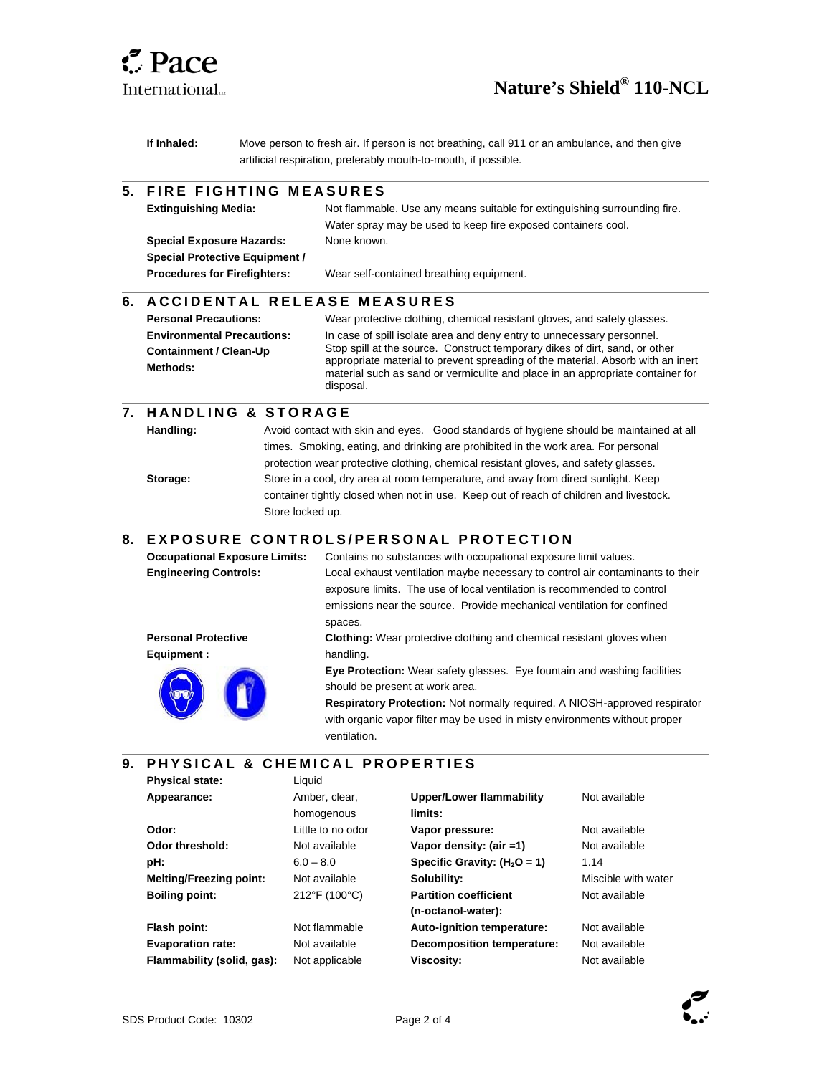

l

 $\overline{\phantom{a}}$ 

l

 $\overline{\phantom{a}}$ 

l

## **Nature's Shield® 110-NCL**

**If Inhaled:** Move person to fresh air. If person is not breathing, call 911 or an ambulance, and then give artificial respiration, preferably mouth-to-mouth, if possible.

#### **5. FIRE FIGHTING MEASURES**

| <b>Extinguishing Media:</b>           | Not flammable. Use any means suitable for extinguishing surrounding fire. |  |  |
|---------------------------------------|---------------------------------------------------------------------------|--|--|
|                                       | Water spray may be used to keep fire exposed containers cool.             |  |  |
| <b>Special Exposure Hazards:</b>      | None known.                                                               |  |  |
| <b>Special Protective Equipment /</b> |                                                                           |  |  |
| <b>Procedures for Firefighters:</b>   | Wear self-contained breathing equipment.                                  |  |  |
|                                       |                                                                           |  |  |

#### **6. A C C I D E N T A L RELEASE MEASURES**

| <b>Personal Precautions:</b>              | Wear protective clothing, chemical resistant gloves, and safety glasses.                                                                                                                                                                                      |
|-------------------------------------------|---------------------------------------------------------------------------------------------------------------------------------------------------------------------------------------------------------------------------------------------------------------|
| <b>Environmental Precautions:</b>         | In case of spill isolate area and deny entry to unnecessary personnel.                                                                                                                                                                                        |
| <b>Containment / Clean-Up</b><br>Methods: | Stop spill at the source. Construct temporary dikes of dirt, sand, or other<br>appropriate material to prevent spreading of the material. Absorb with an inert<br>material such as sand or vermiculite and place in an appropriate container for<br>disposal. |

#### **7. H A N D L I N G & S T O R A G E**

**Handling:** Avoid contact with skin and eyes. Good standards of hygiene should be maintained at all times. Smoking, eating, and drinking are prohibited in the work area. For personal protection wear protective clothing, chemical resistant gloves, and safety glasses. **Storage:** Store in a cool, dry area at room temperature, and away from direct sunlight. Keep container tightly closed when not in use. Keep out of reach of children and livestock. Store locked up.

#### **8. EXPOSURE CONTROLS/PERSONAL PROTECTION**

| <b>Occupational Exposure Limits:</b> | Contains no substances with occupational exposure limit values.                 |
|--------------------------------------|---------------------------------------------------------------------------------|
| <b>Engineering Controls:</b>         | Local exhaust ventilation maybe necessary to control air contaminants to their  |
|                                      | exposure limits. The use of local ventilation is recommended to control         |
|                                      | emissions near the source. Provide mechanical ventilation for confined          |
|                                      | spaces.                                                                         |
| <b>Personal Protective</b>           | <b>Clothing:</b> Wear protective clothing and chemical resistant gloves when    |
| Equipment :                          | handling.                                                                       |
|                                      | <b>Eye Protection:</b> Wear safety glasses. Eye fountain and washing facilities |
|                                      | should be present at work area.                                                 |
|                                      | Respiratory Protection: Not normally required. A NIOSH-approved respirator      |
|                                      | with organic vapor filter may be used in misty environments without proper      |
|                                      | ventilation.                                                                    |

#### **9. P H Y S I C A L & C H E M I C A L P R O P E R T I E S**

| <b>Physical state:</b>         | Liquid            |                                 |                     |
|--------------------------------|-------------------|---------------------------------|---------------------|
| Appearance:                    | Amber, clear,     | <b>Upper/Lower flammability</b> | Not available       |
|                                | homogenous        | limits:                         |                     |
| Odor:                          | Little to no odor | Vapor pressure:                 | Not available       |
| Odor threshold:                | Not available     | Vapor density: (air =1)         | Not available       |
| pH:                            | $6.0 - 8.0$       | Specific Gravity: $(H2O = 1)$   | 1.14                |
| <b>Melting/Freezing point:</b> | Not available     | Solubility:                     | Miscible with water |
| <b>Boiling point:</b>          | 212°F (100°C)     | <b>Partition coefficient</b>    | Not available       |
|                                |                   | (n-octanol-water):              |                     |
| Flash point:                   | Not flammable     | Auto-ignition temperature:      | Not available       |
| <b>Evaporation rate:</b>       | Not available     | Decomposition temperature:      | Not available       |
| Flammability (solid, gas):     | Not applicable    | <b>Viscosity:</b>               | Not available       |
|                                |                   |                                 |                     |

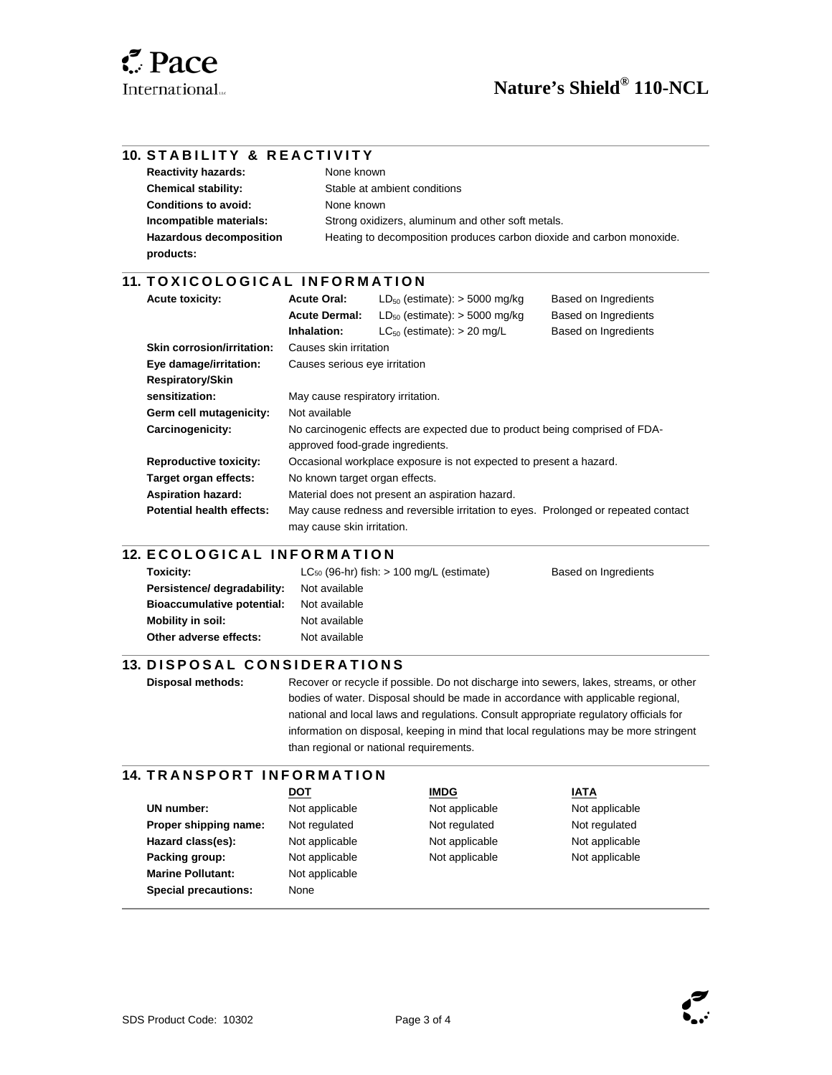$\overline{\phantom{a}}$ 

l

 $\overline{\phantom{a}}$ 

l

|                            | <b>10. STABILITY &amp; REACTIVITY</b> |                                                                                                                  |                                                   |                      |  |  |
|----------------------------|---------------------------------------|------------------------------------------------------------------------------------------------------------------|---------------------------------------------------|----------------------|--|--|
| <b>Reactivity hazards:</b> |                                       |                                                                                                                  | None known<br>Stable at ambient conditions        |                      |  |  |
|                            | <b>Chemical stability:</b>            |                                                                                                                  |                                                   |                      |  |  |
|                            | <b>Conditions to avoid:</b>           | None known                                                                                                       |                                                   |                      |  |  |
|                            | Incompatible materials:               |                                                                                                                  | Strong oxidizers, aluminum and other soft metals. |                      |  |  |
| products:                  | <b>Hazardous decomposition</b>        | Heating to decomposition produces carbon dioxide and carbon monoxide.                                            |                                                   |                      |  |  |
|                            | 11. TOXICOLOGICAL INFORMATION         |                                                                                                                  |                                                   |                      |  |  |
| <b>Acute toxicity:</b>     |                                       | <b>Acute Oral:</b>                                                                                               | $LD_{50}$ (estimate): $>$ 5000 mg/kg              | Based on Ingredients |  |  |
|                            |                                       | <b>Acute Dermal:</b>                                                                                             | $LD_{50}$ (estimate): $>$ 5000 mg/kg              | Based on Ingredients |  |  |
|                            |                                       | Inhalation:                                                                                                      | $LC_{50}$ (estimate): $> 20$ mg/L                 | Based on Ingredients |  |  |
|                            | Skin corrosion/irritation:            | Causes skin irritation                                                                                           |                                                   |                      |  |  |
|                            | Eye damage/irritation:                | Causes serious eye irritation                                                                                    |                                                   |                      |  |  |
|                            | <b>Respiratory/Skin</b>               |                                                                                                                  |                                                   |                      |  |  |
| sensitization:             |                                       | May cause respiratory irritation.                                                                                |                                                   |                      |  |  |
|                            | Germ cell mutagenicity:               | Not available                                                                                                    |                                                   |                      |  |  |
|                            | Carcinogenicity:                      | No carcinogenic effects are expected due to product being comprised of FDA-<br>approved food-grade ingredients.  |                                                   |                      |  |  |
|                            | <b>Reproductive toxicity:</b>         | Occasional workplace exposure is not expected to present a hazard.                                               |                                                   |                      |  |  |
|                            | Target organ effects:                 | No known target organ effects.                                                                                   |                                                   |                      |  |  |
|                            | <b>Aspiration hazard:</b>             | Material does not present an aspiration hazard.                                                                  |                                                   |                      |  |  |
|                            | <b>Potential health effects:</b>      | May cause redness and reversible irritation to eyes. Prolonged or repeated contact<br>may cause skin irritation. |                                                   |                      |  |  |
|                            | <b>12. ECOLOGICAL INFORMATION</b>     |                                                                                                                  |                                                   |                      |  |  |
| Taviainu                   |                                       |                                                                                                                  | $C_{\rm ex}$ (08 br) fights 100 mail (optimate)   | Donad on Ingradiante |  |  |

| Toxicity:                         | $LC_{50}$ (96-hr) fish: $> 100$ mg/L (estimate) | Based on Ingredients |
|-----------------------------------|-------------------------------------------------|----------------------|
| Persistence/ degradability:       | Not available                                   |                      |
| <b>Bioaccumulative potential:</b> | Not available                                   |                      |
| Mobility in soil:                 | Not available                                   |                      |
| Other adverse effects:            | Not available                                   |                      |
|                                   |                                                 |                      |

#### **13. DISPOSAL CONSIDERATIONS**

**Disposal methods:** Recover or recycle if possible. Do not discharge into sewers, lakes, streams, or other bodies of water. Disposal should be made in accordance with applicable regional, national and local laws and regulations. Consult appropriate regulatory officials for information on disposal, keeping in mind that local regulations may be more stringent than regional or national requirements.

#### **14. TRANSPORT INFORMATION**

|                             | <b>DOT</b>     | <b>IMDG</b>    | <u>IATA</u>    |
|-----------------------------|----------------|----------------|----------------|
| UN number:                  | Not applicable | Not applicable | Not applicable |
| Proper shipping name:       | Not regulated  | Not regulated  | Not regulated  |
| Hazard class(es):           | Not applicable | Not applicable | Not applicable |
| Packing group:              | Not applicable | Not applicable | Not applicable |
| <b>Marine Pollutant:</b>    | Not applicable |                |                |
| <b>Special precautions:</b> | None           |                |                |